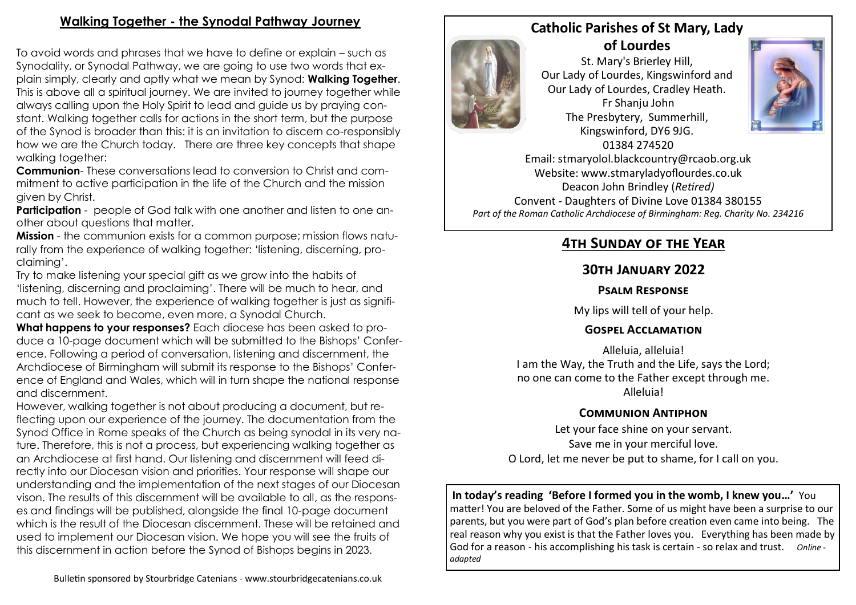## **Walking Together - the Synodal Pathway Journey**

To avoid words and phrases that we have to define or explain – such as Synodality, or Synodal Pathway, we are going to use two words that explain simply, clearly and aptly what we mean by Synod: **Walking Together**. This is above all a spiritual journey. We are invited to journey together while always calling upon the Holy Spirit to lead and guide us by praying constant. Walking together calls for actions in the short term, but the purpose of the Synod is broader than this: it is an invitation to discern co-responsibly how we are the Church today. There are three key concepts that shape walking together:

**Communion**- These conversations lead to conversion to Christ and commitment to active participation in the life of the Church and the mission given by Christ.

**Participation** - people of God talk with one another and listen to one another about questions that matter.

**Mission** - the communion exists for a common purpose; mission flows naturally from the experience of walking together: 'listening, discerning, proclaiming'.

Try to make listening your special gift as we grow into the habits of 'listening, discerning and proclaiming'. There will be much to hear, and much to tell. However, the experience of walking together is just as significant as we seek to become, even more, a Synodal Church.

**What happens to your responses?** Each diocese has been asked to produce a 10-page document which will be submitted to the Bishops' Conference. Following a period of conversation, listening and discernment, the Archdiocese of Birmingham will submit its response to the Bishops' Conference of England and Wales, which will in turn shape the national response and discernment.

However, walking together is not about producing a document, but reflecting upon our experience of the journey. The documentation from the Synod Office in Rome speaks of the Church as being synodal in its very nature. Therefore, this is not a process, but experiencing walking together as an Archdiocese at first hand. Our listening and discernment will feed directly into our Diocesan vision and priorities. Your response will shape our understanding and the implementation of the next stages of our Diocesan vison. The results of this discernment will be available to all, as the responses and findings will be published, alongside the final 10-page document which is the result of the Diocesan discernment. These will be retained and used to implement our Diocesan vision. We hope you will see the fruits of this discernment in action before the Synod of Bishops begins in 2023.



St. Mary's Brierley Hill, Our Lady of Lourdes, Kingswinford and Our Lady of Lourdes, Cradley Heath. Fr Shanju John The Presbytery, Summerhill, Kingswinford, DY6 9JG. 01384 274520



Email: stmaryolol.blackcountry@rcaob.org.uk Website: www.stmaryladyoflourdes.co.uk Deacon John Brindley (*Retired)* Convent - Daughters of Divine Love 01384 380155 *Part of the Roman Catholic Archdiocese of Birmingham: Reg. Charity No. 234216*

# **4th Sunday of the Year**

### **30th January 2022**

#### **Psalm Response**

My lips will tell of your help.

#### **Gospel Acclamation**

Alleluia, alleluia! I am the Way, the Truth and the Life, says the Lord; no one can come to the Father except through me. Alleluia!

## **Communion Antiphon**

Let your face shine on your servant. Save me in your merciful love. O Lord, let me never be put to shame, for I call on you.

**In today's reading 'Before I formed you in the womb, I knew you…'** You matter! You are beloved of the Father. Some of us might have been a surprise to our parents, but you were part of God's plan before creation even came into being. The real reason why you exist is that the Father loves you. Everything has been made by God for a reason - his accomplishing his task is certain - so relax and trust. *Online adapted*